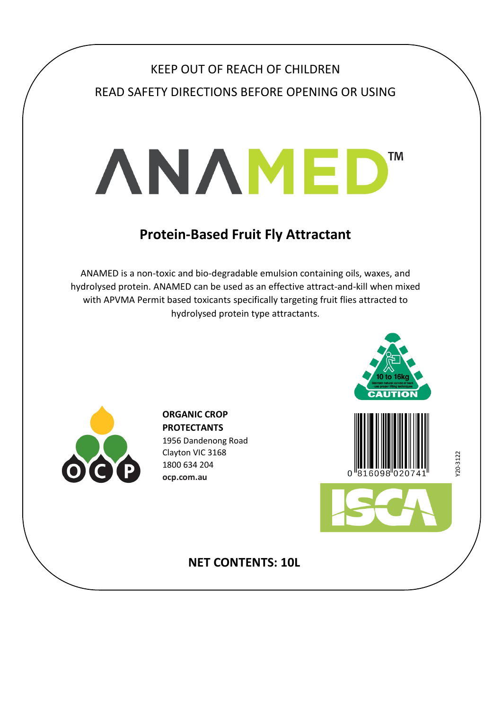# KEEP OUT OF REACH OF CHILDREN READ SAFETY DIRECTIONS BEFORE OPENING OR USING

# **ANAMED TM**

## **Protein-Based Fruit Fly Attractant**

ANAMED is a non-toxic and bio-degradable emulsion containing oils, waxes, and hydrolysed protein. ANAMED can be used as an effective attract-and-kill when mixed with APVMA Permit based toxicants specifically targeting fruit flies attracted to hydrolysed protein type attractants.



**ORGANIC CROP PROTECTANTS**  1956 Dandenong Road Clayton VIC 3168 1800 634 204 **ocp.com.au**





 $20 - 3122$ Y20-3122

## **NET CONTENTS: 10L**